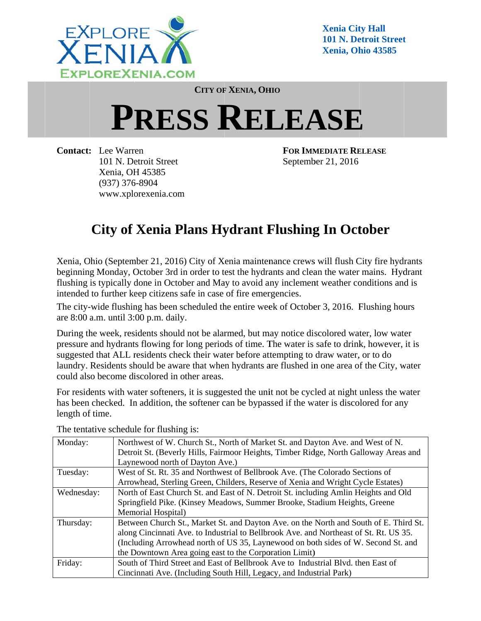

**Xenia Cit ty Hall**  101 N. Detroit Street **Xenia, Oh hio 43585** 

**CITY OF F XENIA, OH HIO**

## $P$ **RESS RELEASE**

**Contact: :** Lee Warr en 101 N. Detroit Street Xenia, OH H 45385 (937) 376 6-8904 www.xplorexenia.com **FOR IMM MEDIATE RE ELEASE** Septemb ber 21, 2016

## **City of Xenia Plans Hydrant Flushing In October**

Xenia, Ohio (September 21, 2016) City of Xenia maintenance crews will flush City fire hydrants beginning Monday, October 3rd in order to test the hydrants and clean the water mains. Hydrant flushing is typically done in October and May to avoid any inclement weather conditions and is intended to further keep citizens safe in case of fire emergencies.

The city-wide flushing has been scheduled the entire week of October 3, 2016. Flushing hours are 8:00 a.m. until 3:00 p.m. daily.

During the week, residents should not be alarmed, but may notice discolored water, low water pressure and hydrants flowing for long periods of time. The water is safe to drink, however, it is suggested that ALL residents check their water before attempting to draw water, or to do laundry. Residents should be aware that when hydrants are flushed in one area of the City, water could also become discolored in other areas.

For residents with water softeners, it is suggested the unit not be cycled at night unless the water has been checked. In addition, the softener can be bypassed if the water is discolored for any length of time.

| Monday:    | Northwest of W. Church St., North of Market St. and Dayton Ave. and West of N.        |
|------------|---------------------------------------------------------------------------------------|
|            | Detroit St. (Beverly Hills, Fairmoor Heights, Timber Ridge, North Galloway Areas and  |
|            | Laynewood north of Dayton Ave.)                                                       |
| Tuesday:   | West of St. Rt. 35 and Northwest of Bellbrook Ave. (The Colorado Sections of          |
|            | Arrowhead, Sterling Green, Childers, Reserve of Xenia and Wright Cycle Estates)       |
| Wednesday: | North of East Church St. and East of N. Detroit St. including Amlin Heights and Old   |
|            | Springfield Pike. (Kinsey Meadows, Summer Brooke, Stadium Heights, Greene             |
|            | Memorial Hospital)                                                                    |
| Thursday:  | Between Church St., Market St. and Dayton Ave. on the North and South of E. Third St. |
|            | along Cincinnati Ave. to Industrial to Bellbrook Ave. and Northeast of St. Rt. US 35. |
|            | (Including Arrowhead north of US 35, Laynewood on both sides of W. Second St. and     |
|            | the Downtown Area going east to the Corporation Limit)                                |
| Friday:    | South of Third Street and East of Bellbrook Ave to Industrial Blvd. then East of      |
|            | Cincinnati Ave. (Including South Hill, Legacy, and Industrial Park)                   |

The tentative schedule for flushing is: